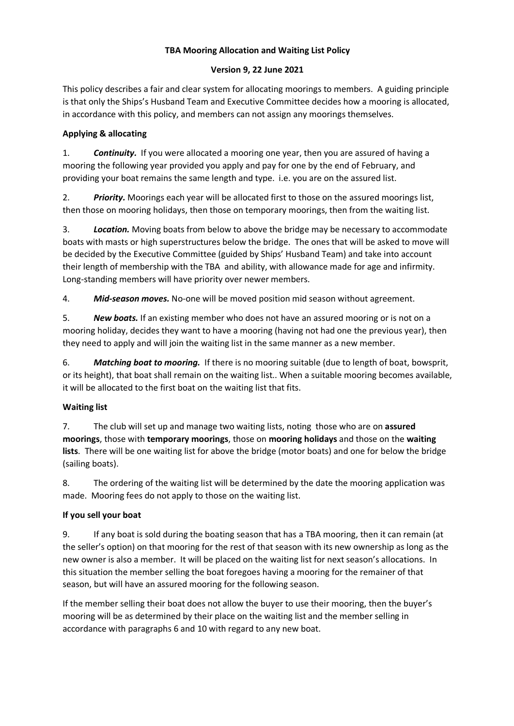## **TBA Mooring Allocation and Waiting List Policy**

### **Version 9, 22 June 2021**

This policy describes a fair and clear system for allocating moorings to members. A guiding principle is that only the Ships's Husband Team and Executive Committee decides how a mooring is allocated, in accordance with this policy, and members can not assign any moorings themselves.

## **Applying & allocating**

1. *Continuity.* If you were allocated a mooring one year, then you are assured of having a mooring the following year provided you apply and pay for one by the end of February, and providing your boat remains the same length and type. i.e. you are on the assured list.

2. *Priority.* Moorings each year will be allocated first to those on the assured moorings list, then those on mooring holidays, then those on temporary moorings, then from the waiting list.

3. *Location.* Moving boats from below to above the bridge may be necessary to accommodate boats with masts or high superstructures below the bridge. The ones that will be asked to move will be decided by the Executive Committee (guided by Ships' Husband Team) and take into account their length of membership with the TBA and ability, with allowance made for age and infirmity. Long-standing members will have priority over newer members.

4. *Mid-season moves.* No-one will be moved position mid season without agreement.

5. *New boats.* If an existing member who does not have an assured mooring or is not on a mooring holiday, decides they want to have a mooring (having not had one the previous year), then they need to apply and will join the waiting list in the same manner as a new member.

6. *Matching boat to mooring.* If there is no mooring suitable (due to length of boat, bowsprit, or its height), that boat shall remain on the waiting list.. When a suitable mooring becomes available, it will be allocated to the first boat on the waiting list that fits.

# **Waiting list**

7. The club will set up and manage two waiting lists, noting those who are on **assured moorings**, those with **temporary moorings**, those on **mooring holidays** and those on the **waiting lists**. There will be one waiting list for above the bridge (motor boats) and one for below the bridge (sailing boats).

8. The ordering of the waiting list will be determined by the date the mooring application was made. Mooring fees do not apply to those on the waiting list.

# **If you sell your boat**

9. If any boat is sold during the boating season that has a TBA mooring, then it can remain (at the seller's option) on that mooring for the rest of that season with its new ownership as long as the new owner is also a member. It will be placed on the waiting list for next season's allocations. In this situation the member selling the boat foregoes having a mooring for the remainer of that season, but will have an assured mooring for the following season.

If the member selling their boat does not allow the buyer to use their mooring, then the buyer's mooring will be as determined by their place on the waiting list and the member selling in accordance with paragraphs 6 and 10 with regard to any new boat.